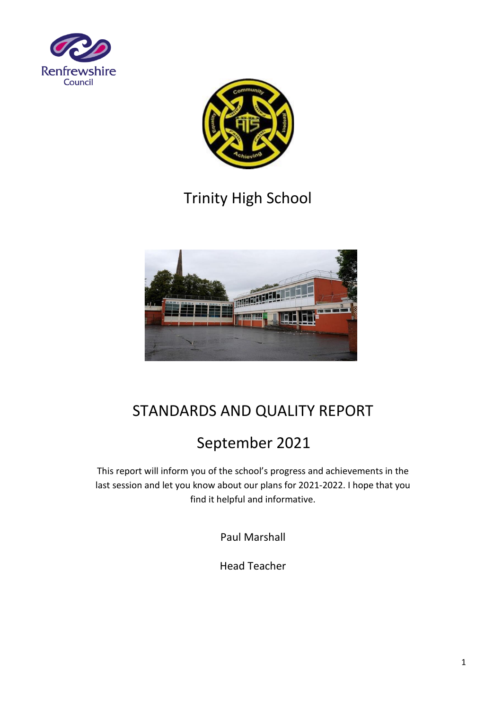



# Trinity High School



## STANDARDS AND QUALITY REPORT

# September 2021

This report will inform you of the school's progress and achievements in the last session and let you know about our plans for 2021-2022. I hope that you find it helpful and informative.

Paul Marshall

Head Teacher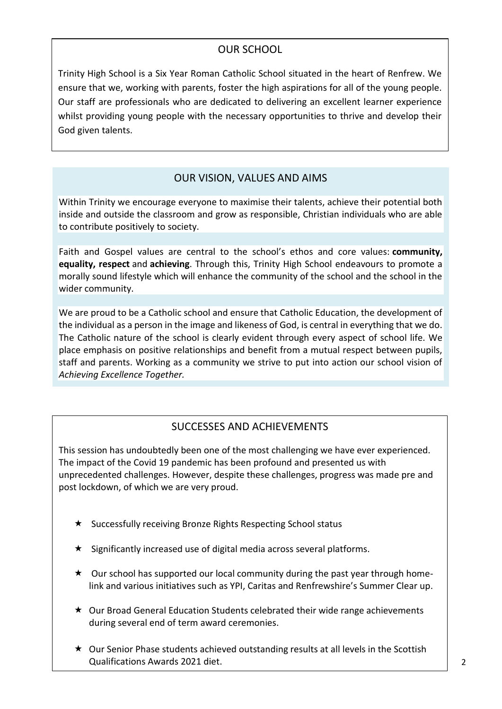## OUR SCHOOL

Trinity High School is a Six Year Roman Catholic School situated in the heart of Renfrew. We ensure that we, working with parents, foster the high aspirations for all of the young people. Our staff are professionals who are dedicated to delivering an excellent learner experience whilst providing young people with the necessary opportunities to thrive and develop their God given talents.

### OUR VISION, VALUES AND AIMS

Within Trinity we encourage everyone to maximise their talents, achieve their potential both inside and outside the classroom and grow as responsible, Christian individuals who are able to contribute positively to society.

Faith and Gospel values are central to the school's ethos and core values: **community, equality, respect** and **achieving**. Through this, Trinity High School endeavours to promote a morally sound lifestyle which will enhance the community of the school and the school in the wider community.

We are proud to be a Catholic school and ensure that Catholic Education, the development of the individual as a person in the image and likeness of God, is central in everything that we do. The Catholic nature of the school is clearly evident through every aspect of school life. We place emphasis on positive relationships and benefit from a mutual respect between pupils, staff and parents. Working as a community we strive to put into action our school vision of *Achieving Excellence Together.* 

## SUCCESSES AND ACHIEVEMENTS

This session has undoubtedly been one of the most challenging we have ever experienced. The impact of the Covid 19 pandemic has been profound and presented us with unprecedented challenges. However, despite these challenges, progress was made pre and post lockdown, of which we are very proud.

- $\star$  Successfully receiving Bronze Rights Respecting School status
- $\star$  Significantly increased use of digital media across several platforms.
- $\star$  Our school has supported our local community during the past year through homelink and various initiatives such as YPI, Caritas and Renfrewshire's Summer Clear up.
- $\star$  Our Broad General Education Students celebrated their wide range achievements during several end of term award ceremonies.
- $\star$  Our Senior Phase students achieved outstanding results at all levels in the Scottish Qualifications Awards 2021 diet.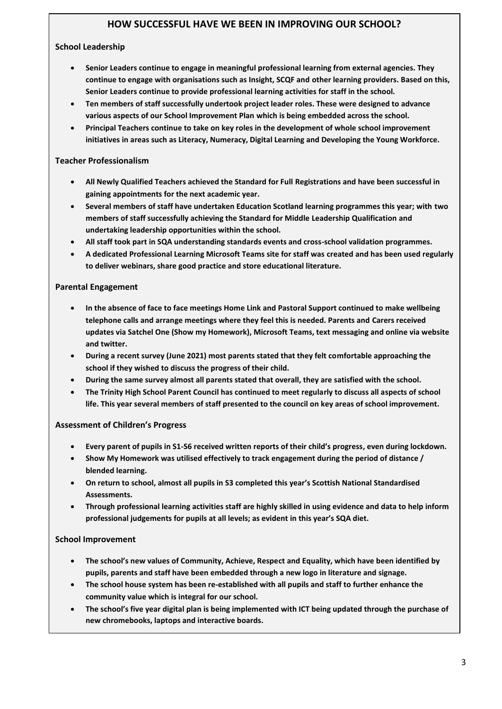#### **HOW SUCCESSFUL HAVE WE BEEN IN IMPROVING OUR SCHOOL?**

#### **School Leadership**

- **Senior Leaders continue to engage in meaningful professional learning from external agencies. They continue to engage with organisations such as Insight, SCQF and other learning providers. Based on this, Senior Leaders continue to provide professional learning activities for staff in the school.**
- **Ten members of staff successfully undertook project leader roles. These were designed to advance various aspects of our School Improvement Plan which is being embedded across the school.**
- **Principal Teachers continue to take on key roles in the development of whole school improvement initiatives in areas such as Literacy, Numeracy, Digital Learning and Developing the Young Workforce.**

#### **Teacher Professionalism**

- **All Newly Qualified Teachers achieved the Standard for Full Registrations and have been successful in gaining appointments for the next academic year.**
- **Several members of staff have undertaken Education Scotland learning programmes this year; with two members of staff successfully achieving the Standard for Middle Leadership Qualification and undertaking leadership opportunities within the school.**
- **All staff took part in SQA understanding standards events and cross-school validation programmes.**
- **A dedicated Professional Learning Microsoft Teams site for staff was created and has been used regularly to deliver webinars, share good practice and store educational literature.**

#### **Parental Engagement**

- **In the absence of face to face meetings Home Link and Pastoral Support continued to make wellbeing telephone calls and arrange meetings where they feel this is needed. Parents and Carers received updates via Satchel One (Show my Homework), Microsoft Teams, text messaging and online via website and twitter.**
- **During a recent survey (June 2021) most parents stated that they felt comfortable approaching the school if they wished to discuss the progress of their child.**
- **During the same survey almost all parents stated that overall, they are satisfied with the school.**
- **The Trinity High School Parent Council has continued to meet regularly to discuss all aspects of school life. This year several members of staff presented to the council on key areas of school improvement.**

#### **Assessment of Children's Progress**

- **Every parent of pupils in S1-S6 received written reports of their child's progress, even during lockdown.**
- **Show My Homework was utilised effectively to track engagement during the period of distance / blended learning.**
- **On return to school, almost all pupils in S3 completed this year's Scottish National Standardised Assessments.**
- **Through professional learning activities staff are highly skilled in using evidence and data to help inform professional judgements for pupils at all levels; as evident in this year's SQA diet.**

#### **School Improvement**

- **The school's new values of Community, Achieve, Respect and Equality, which have been identified by pupils, parents and staff have been embedded through a new logo in literature and signage.**
- **The school house system has been re-established with all pupils and staff to further enhance the community value which is integral for our school.**
- **The school's five year digital plan is being implemented with ICT being updated through the purchase of new chromebooks, laptops and interactive boards.**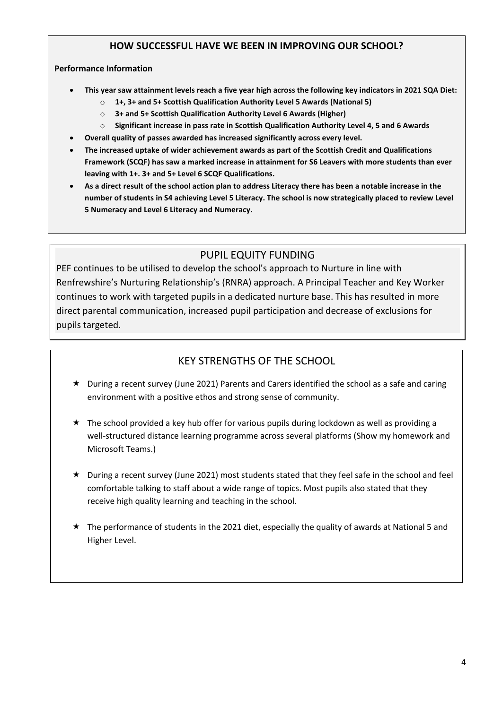#### **HOW SUCCESSFUL HAVE WE BEEN IN IMPROVING OUR SCHOOL?**

#### **Performance Information**

- **This year saw attainment levels reach a five year high across the following key indicators in 2021 SQA Diet:**
	- o **1+, 3+ and 5+ Scottish Qualification Authority Level 5 Awards (National 5)**
	- o **3+ and 5+ Scottish Qualification Authority Level 6 Awards (Higher)**
	- o **Significant increase in pass rate in Scottish Qualification Authority Level 4, 5 and 6 Awards**
- **Overall quality of passes awarded has increased significantly across every level.**
- **The increased uptake of wider achievement awards as part of the Scottish Credit and Qualifications Framework (SCQF) has saw a marked increase in attainment for S6 Leavers with more students than ever leaving with 1+. 3+ and 5+ Level 6 SCQF Qualifications.**
- **As a direct result of the school action plan to address Literacy there has been a notable increase in the number of students in S4 achieving Level 5 Literacy. The school is now strategically placed to review Level 5 Numeracy and Level 6 Literacy and Numeracy.**

### PUPIL EQUITY FUNDING

PEF continues to be utilised to develop the school's approach to Nurture in line with Renfrewshire's Nurturing Relationship's (RNRA) approach. A Principal Teacher and Key Worker continues to work with targeted pupils in a dedicated nurture base. This has resulted in more direct parental communication, increased pupil participation and decrease of exclusions for pupils targeted.

## KEY STRENGTHS OF THE SCHOOL

- $\star$  During a recent survey (June 2021) Parents and Carers identified the school as a safe and caring environment with a positive ethos and strong sense of community.
- $\star$  The school provided a key hub offer for various pupils during lockdown as well as providing a well-structured distance learning programme across several platforms (Show my homework and Microsoft Teams.)
- $\star$  During a recent survey (June 2021) most students stated that they feel safe in the school and feel comfortable talking to staff about a wide range of topics. Most pupils also stated that they receive high quality learning and teaching in the school.
- $\star$  The performance of students in the 2021 diet, especially the quality of awards at National 5 and Higher Level.